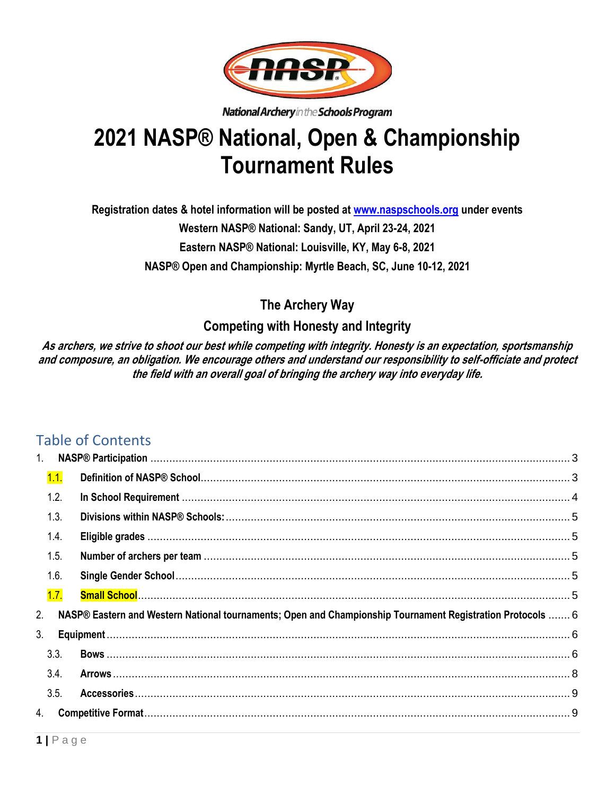

National Archery in the Schools Program

# **2021 NASP® National, Open & Championship Tournament Rules**

**Registration dates & hotel information will be posted at [www.naspschools.org](http://www.naspschools.org/) under events Western NASP® National: Sandy, UT, April 23-24, 2021 Eastern NASP® National: Louisville, KY, May 6-8, 2021 NASP® Open and Championship: Myrtle Beach, SC, June 10-12, 2021**

**The Archery Way**

# **Competing with Honesty and Integrity**

**As archers, we strive to shoot our best while competing with integrity. Honesty is an expectation, sportsmanship and composure, an obligation. We encourage others and understand our responsibility to self-officiate and protect the field with an overall goal of bringing the archery way into everyday life.** 

# Table of Contents

| 1. |      |                                                                                                            |  |
|----|------|------------------------------------------------------------------------------------------------------------|--|
|    | 1.1. |                                                                                                            |  |
|    | 1.2. |                                                                                                            |  |
|    | 1.3. |                                                                                                            |  |
|    | 1.4. |                                                                                                            |  |
|    | 1.5. |                                                                                                            |  |
|    | 1.6. |                                                                                                            |  |
|    | 1.7. |                                                                                                            |  |
| 2. |      | NASP® Eastern and Western National tournaments; Open and Championship Tournament Registration Protocols  6 |  |
| 3. |      |                                                                                                            |  |
|    | 3.3. |                                                                                                            |  |
|    | 3.4. |                                                                                                            |  |
|    | 3.5. |                                                                                                            |  |
| 4. |      |                                                                                                            |  |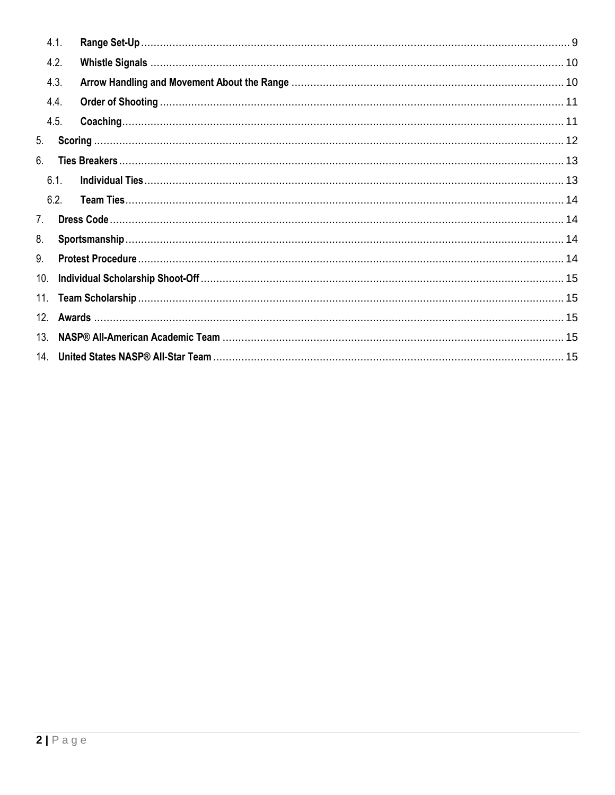|     | 4.1. |  |  |  |
|-----|------|--|--|--|
|     | 4.2. |  |  |  |
|     | 4.3. |  |  |  |
|     | 4.4. |  |  |  |
|     | 4.5. |  |  |  |
| 5.  |      |  |  |  |
| 6.  |      |  |  |  |
|     | 6.1. |  |  |  |
|     | 6.2. |  |  |  |
| 7.  |      |  |  |  |
| 8.  |      |  |  |  |
| 9.  |      |  |  |  |
| 10. |      |  |  |  |
| 11. |      |  |  |  |
|     |      |  |  |  |
| 13. |      |  |  |  |
|     |      |  |  |  |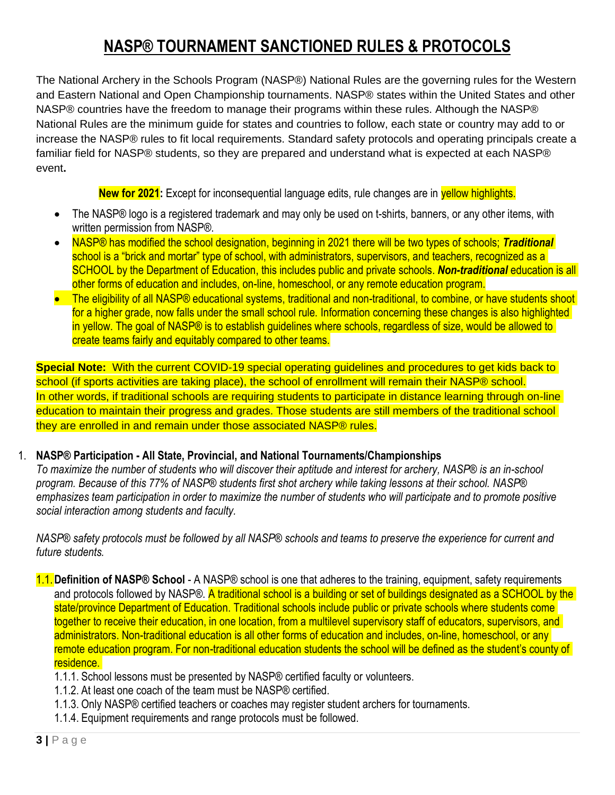# **NASP® TOURNAMENT SANCTIONED RULES & PROTOCOLS**

The National Archery in the Schools Program (NASP®) National Rules are the governing rules for the Western and Eastern National and Open Championship tournaments. NASP® states within the United States and other NASP® countries have the freedom to manage their programs within these rules. Although the NASP® National Rules are the minimum guide for states and countries to follow, each state or country may add to or increase the NASP® rules to fit local requirements. Standard safety protocols and operating principals create a familiar field for NASP® students, so they are prepared and understand what is expected at each NASP® event**.**

**New for 2021:** Except for inconsequential language edits, rule changes are in **yellow highlights.** 

- The NASP® logo is a registered trademark and may only be used on t-shirts, banners, or any other items, with written permission from NASP®.
- NASP® has modified the school designation, beginning in 2021 there will be two types of schools; *Traditional* school is a "brick and mortar" type of school, with administrators, supervisors, and teachers, recognized as a SCHOOL by the Department of Education, this includes public and private schools. *Non-traditional* education is all other forms of education and includes, on-line, homeschool, or any remote education program.
- The eligibility of all NASP® educational systems, traditional and non-traditional, to combine, or have students shoot for a higher grade, now falls under the small school rule. Information concerning these changes is also highlighted in yellow. The goal of NASP® is to establish guidelines where schools, regardless of size, would be allowed to create teams fairly and equitably compared to other teams.

**Special Note:** With the current COVID-19 special operating guidelines and procedures to get kids back to school (if sports activities are taking place), the school of enrollment will remain their NASP® school. In other words, if traditional schools are requiring students to participate in distance learning through on-line education to maintain their progress and grades. Those students are still members of the traditional school they are enrolled in and remain under those associated NASP® rules.

#### 1. **NASP® Participation - All State, Provincial, and National Tournaments/Championships**

<span id="page-2-0"></span>*To maximize the number of students who will discover their aptitude and interest for archery, NASP® is an in-school program. Because of this 77% of NASP® students first shot archery while taking lessons at their school. NASP® emphasizes team participation in order to maximize the number of students who will participate and to promote positive social interaction among students and faculty.*

*NASP® safety protocols must be followed by all NASP® schools and teams to preserve the experience for current and future students.*

- <span id="page-2-1"></span>1.1.**Definition of NASP® School** - A NASP® school is one that adheres to the training, equipment, safety requirements and protocols followed by NASP®. A traditional school is a building or set of buildings designated as a SCHOOL by the state/province Department of Education. Traditional schools include public or private schools where students come together to receive their education, in one location, from a multilevel supervisory staff of educators, supervisors, and administrators. Non-traditional education is all other forms of education and includes, on-line, homeschool, or any remote education program. For non-traditional education students the school will be defined as the student's county of residence.
	- 1.1.1. School lessons must be presented by NASP® certified faculty or volunteers.
	- 1.1.2. At least one coach of the team must be NASP® certified.
	- 1.1.3. Only NASP® certified teachers or coaches may register student archers for tournaments.
	- 1.1.4. Equipment requirements and range protocols must be followed.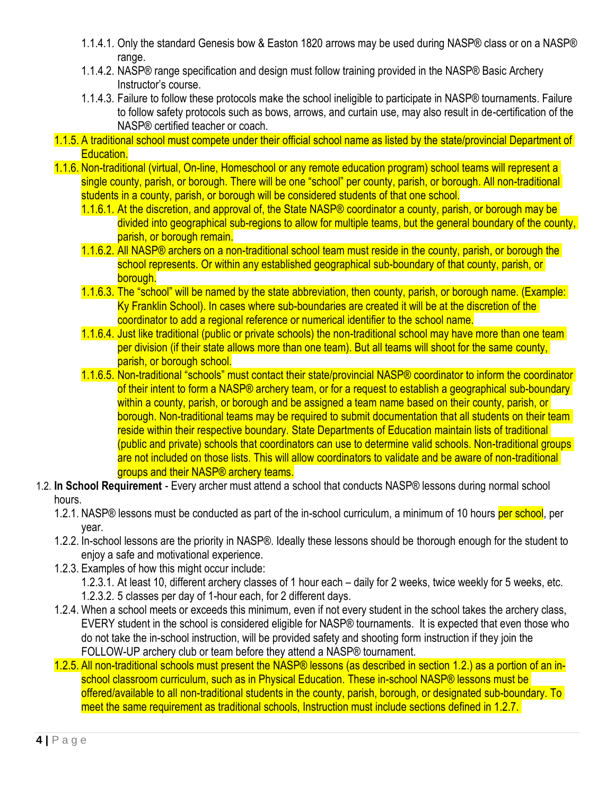- 1.1.4.1. Only the standard Genesis bow & Easton 1820 arrows may be used during NASP® class or on a NASP® range.
- 1.1.4.2. NASP® range specification and design must follow training provided in the NASP® Basic Archery Instructor's course.
- 1.1.4.3. Failure to follow these protocols make the school ineligible to participate in NASP® tournaments. Failure to follow safety protocols such as bows, arrows, and curtain use, may also result in de-certification of the NASP® certified teacher or coach.
- 1.1.5. A traditional school must compete under their official school name as listed by the state/provincial Department of Education.
- 1.1.6. Non-traditional (virtual, On-line, Homeschool or any remote education program) school teams will represent a single county, parish, or borough. There will be one "school" per county, parish, or borough. All non-traditional students in a county, parish, or borough will be considered students of that one school.
	- 1.1.6.1. At the discretion, and approval of, the State NASP® coordinator a county, parish, or borough may be divided into geographical sub-regions to allow for multiple teams, but the general boundary of the county, parish, or borough remain.
	- 1.1.6.2. All NASP® archers on a non-traditional school team must reside in the county, parish, or borough the school represents. Or within any established geographical sub-boundary of that county, parish, or borough.
	- 1.1.6.3. The "school" will be named by the state abbreviation, then county, parish, or borough name. (Example: Ky Franklin School). In cases where sub-boundaries are created it will be at the discretion of the coordinator to add a regional reference or numerical identifier to the school name.
	- 1.1.6.4. Just like traditional (public or private schools) the non-traditional school may have more than one team per division (if their state allows more than one team). But all teams will shoot for the same county, parish, or borough school.
	- 1.1.6.5. Non-traditional "schools" must contact their state/provincial NASP® coordinator to inform the coordinator of their intent to form a NASP® archery team, or for a request to establish a geographical sub-boundary within a county, parish, or borough and be assigned a team name based on their county, parish, or borough. Non-traditional teams may be required to submit documentation that all students on their team reside within their respective boundary. State Departments of Education maintain lists of traditional (public and private) schools that coordinators can use to determine valid schools. Non-traditional groups are not included on those lists. This will allow coordinators to validate and be aware of non-traditional groups and their NASP® archery teams.
- <span id="page-3-0"></span>1.2. **In School Requirement** - Every archer must attend a school that conducts NASP® lessons during normal school hours.
	- 1.2.1. NASP® lessons must be conducted as part of the in-school curriculum, a minimum of 10 hours per school, per year.
	- 1.2.2. In-school lessons are the priority in NASP®. Ideally these lessons should be thorough enough for the student to enjoy a safe and motivational experience.
	- 1.2.3. Examples of how this might occur include:

1.2.3.1. At least 10, different archery classes of 1 hour each – daily for 2 weeks, twice weekly for 5 weeks, etc. 1.2.3.2. 5 classes per day of 1-hour each, for 2 different days.

- 1.2.4. When a school meets or exceeds this minimum, even if not every student in the school takes the archery class, EVERY student in the school is considered eligible for NASP® tournaments. It is expected that even those who do not take the in-school instruction, will be provided safety and shooting form instruction if they join the FOLLOW-UP archery club or team before they attend a NASP® tournament.
- 1.2.5. All non-traditional schools must present the NASP® lessons (as described in section 1.2.) as a portion of an inschool classroom curriculum, such as in Physical Education. These in-school NASP® lessons must be offered/available to all non-traditional students in the county, parish, borough, or designated sub-boundary. To meet the same requirement as traditional schools, Instruction must include sections defined in 1.2.7.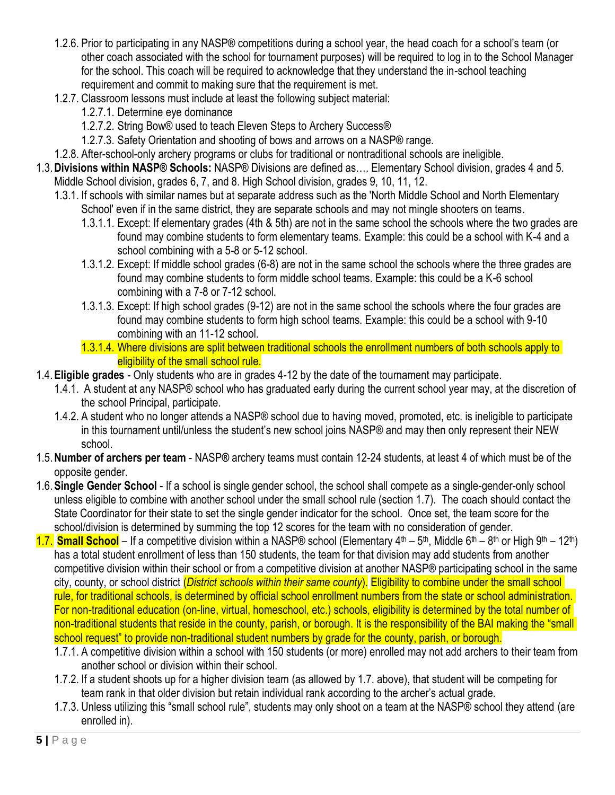- 1.2.6. Prior to participating in any NASP® competitions during a school year, the head coach for a school's team (or other coach associated with the school for tournament purposes) will be required to log in to the School Manager for the school. This coach will be required to acknowledge that they understand the in-school teaching requirement and commit to making sure that the requirement is met.
- 1.2.7. Classroom lessons must include at least the following subject material:
	- 1.2.7.1. Determine eye dominance
	- 1.2.7.2. String Bow® used to teach Eleven Steps to Archery Success®
	- 1.2.7.3. Safety Orientation and shooting of bows and arrows on a NASP® range.
- 1.2.8. After-school-only archery programs or clubs for traditional or nontraditional schools are ineligible.
- <span id="page-4-0"></span>1.3.**Divisions within NASP® Schools:** NASP® Divisions are defined as…. Elementary School division, grades 4 and 5. Middle School division, grades 6, 7, and 8. High School division, grades 9, 10, 11, 12.
	- 1.3.1. If schools with similar names but at separate address such as the 'North Middle School and North Elementary School' even if in the same district, they are separate schools and may not mingle shooters on teams.
		- 1.3.1.1. Except: If elementary grades (4th & 5th) are not in the same school the schools where the two grades are found may combine students to form elementary teams. Example: this could be a school with K-4 and a school combining with a 5-8 or 5-12 school.
		- 1.3.1.2. Except: If middle school grades (6-8) are not in the same school the schools where the three grades are found may combine students to form middle school teams. Example: this could be a K-6 school combining with a 7-8 or 7-12 school.
		- 1.3.1.3. Except: If high school grades (9-12) are not in the same school the schools where the four grades are found may combine students to form high school teams. Example: this could be a school with 9-10 combining with an 11-12 school.
		- 1.3.1.4. Where divisions are split between traditional schools the enrollment numbers of both schools apply to eligibility of the small school rule.
- <span id="page-4-1"></span>1.4.**Eligible grades** - Only students who are in grades 4-12 by the date of the tournament may participate.
	- 1.4.1. A student at any NASP® school who has graduated early during the current school year may, at the discretion of the school Principal, participate.
	- 1.4.2. A student who no longer attends a NASP® school due to having moved, promoted, etc. is ineligible to participate in this tournament until/unless the student's new school joins NASP® and may then only represent their NEW school.
- <span id="page-4-2"></span>1.5.**Number of archers per team** - NASP**®** archery teams must contain 12-24 students, at least 4 of which must be of the opposite gender.
- <span id="page-4-3"></span>1.6.**Single Gender School** - If a school is single gender school, the school shall compete as a single-gender-only school unless eligible to combine with another school under the small school rule (section 1.7). The coach should contact the State Coordinator for their state to set the single gender indicator for the school. Once set, the team score for the school/division is determined by summing the top 12 scores for the team with no consideration of gender.
- <span id="page-4-4"></span>1.7. **Small School** – If a competitive division within a NASP® school (Elementary 4<sup>th</sup> – 5<sup>th</sup>, Middle 6<sup>th</sup> – 8<sup>th</sup> or High 9<sup>th</sup> – 12<sup>th</sup>) has a total student enrollment of less than 150 students, the team for that division may add students from another competitive division within their school or from a competitive division at another NASP® participating school in the same city, county, or school district (*District schools within their same county*). Eligibility to combine under the small school rule, for traditional schools, is determined by official school enrollment numbers from the state or school administration. For non-traditional education (on-line, virtual, homeschool, etc.) schools, eligibility is determined by the total number of non-traditional students that reside in the county, parish, or borough. It is the responsibility of the BAI making the "small school request" to provide non-traditional student numbers by grade for the county, parish, or borough.
	- 1.7.1. A competitive division within a school with 150 students (or more) enrolled may not add archers to their team from another school or division within their school.
	- 1.7.2. If a student shoots up for a higher division team (as allowed by 1.7. above), that student will be competing for team rank in that older division but retain individual rank according to the archer's actual grade.
	- 1.7.3. Unless utilizing this "small school rule", students may only shoot on a team at the NASP® school they attend (are enrolled in).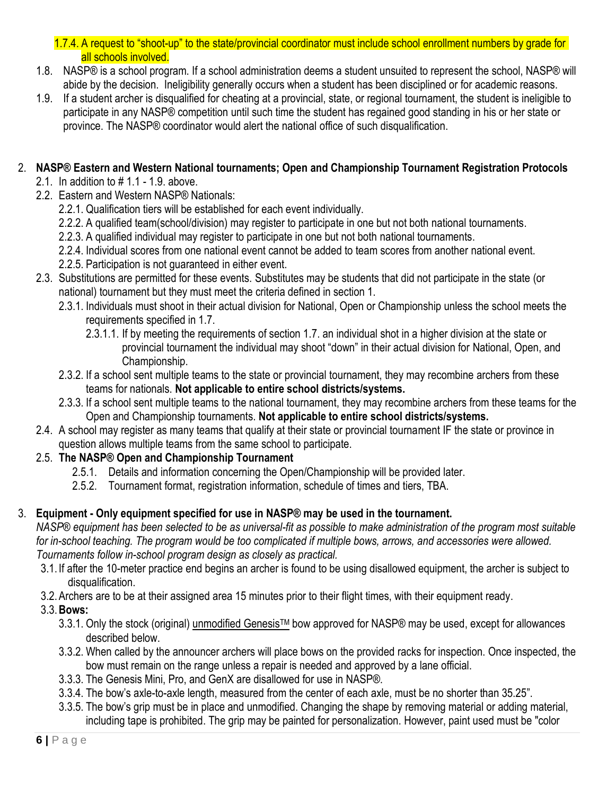1.7.4. A request to "shoot-up" to the state/provincial coordinator must include school enrollment numbers by grade for all schools involved.

- 1.8. NASP® is a school program. If a school administration deems a student unsuited to represent the school, NASP® will abide by the decision. Ineligibility generally occurs when a student has been disciplined or for academic reasons.
- 1.9. If a student archer is disqualified for cheating at a provincial, state, or regional tournament, the student is ineligible to participate in any NASP® competition until such time the student has regained good standing in his or her state or province. The NASP® coordinator would alert the national office of such disqualification.

#### 2. **NASP® Eastern and Western National tournaments; Open and Championship Tournament Registration Protocols**

- <span id="page-5-0"></span>2.1. In addition to # 1.1 - 1.9. above.
- 2.2. Eastern and Western NASP® Nationals:
	- 2.2.1. Qualification tiers will be established for each event individually.
	- 2.2.2. A qualified team(school/division) may register to participate in one but not both national tournaments.
	- 2.2.3. A qualified individual may register to participate in one but not both national tournaments.
	- 2.2.4. Individual scores from one national event cannot be added to team scores from another national event.
	- 2.2.5. Participation is not guaranteed in either event.
- 2.3. Substitutions are permitted for these events. Substitutes may be students that did not participate in the state (or national) tournament but they must meet the criteria defined in section 1.
	- 2.3.1. Individuals must shoot in their actual division for National, Open or Championship unless the school meets the requirements specified in 1.7.
		- 2.3.1.1. If by meeting the requirements of section 1.7. an individual shot in a higher division at the state or provincial tournament the individual may shoot "down" in their actual division for National, Open, and Championship.
	- 2.3.2. If a school sent multiple teams to the state or provincial tournament, they may recombine archers from these teams for nationals. **Not applicable to entire school districts/systems.**
	- 2.3.3. If a school sent multiple teams to the national tournament, they may recombine archers from these teams for the Open and Championship tournaments. **Not applicable to entire school districts/systems.**
- 2.4. A school may register as many teams that qualify at their state or provincial tournament IF the state or province in question allows multiple teams from the same school to participate.

# 2.5. **The NASP® Open and Championship Tournament**

- 2.5.1. Details and information concerning the Open/Championship will be provided later.
- 2.5.2. Tournament format, registration information, schedule of times and tiers, TBA.

# 3. **Equipment - Only equipment specified for use in NASP® may be used in the tournament.**

<span id="page-5-1"></span>*NASP® equipment has been selected to be as universal-fit as possible to make administration of the program most suitable*  for in-school teaching. The program would be too complicated if multiple bows, arrows, and accessories were allowed. *Tournaments follow in-school program design as closely as practical.*

- 3.1. If after the 10-meter practice end begins an archer is found to be using disallowed equipment, the archer is subject to disqualification.
- 3.2.Archers are to be at their assigned area 15 minutes prior to their flight times, with their equipment ready.

# <span id="page-5-2"></span>3.3.**Bows:**

- 3.3.1. Only the stock (original) unmodified GenesisTM bow approved for NASP® may be used, except for allowances described below.
- 3.3.2. When called by the announcer archers will place bows on the provided racks for inspection. Once inspected, the bow must remain on the range unless a repair is needed and approved by a lane official.
- 3.3.3. The Genesis Mini, Pro, and GenX are disallowed for use in NASP®.
- 3.3.4. The bow's axle-to-axle length, measured from the center of each axle, must be no shorter than 35.25".
- 3.3.5. The bow's grip must be in place and unmodified. Changing the shape by removing material or adding material, including tape is prohibited. The grip may be painted for personalization. However, paint used must be "color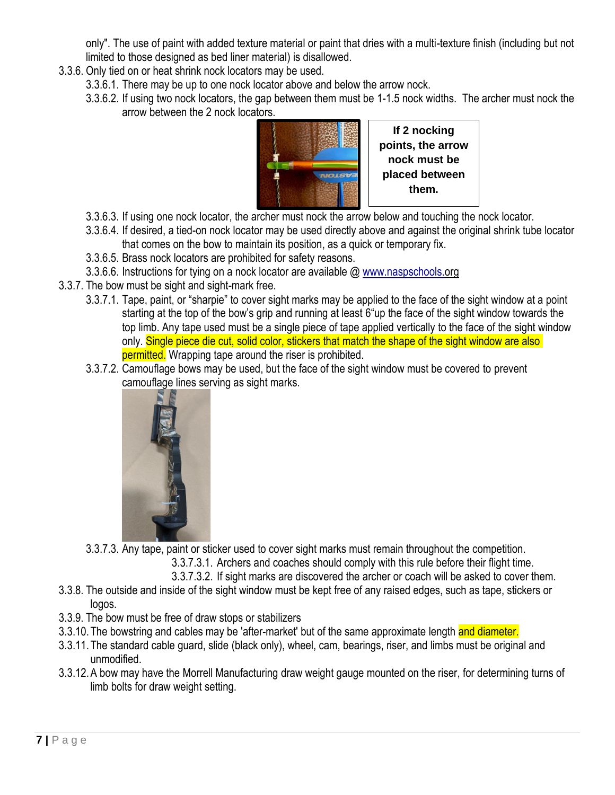only". The use of paint with added texture material or paint that dries with a multi-texture finish (including but not limited to those designed as bed liner material) is disallowed.

- 3.3.6. Only tied on or heat shrink nock locators may be used.
	- 3.3.6.1. There may be up to one nock locator above and below the arrow nock.
	- 3.3.6.2. If using two nock locators, the gap between them must be 1-1.5 nock widths. The archer must nock the arrow between the 2 nock locators.



- 3.3.6.3. If using one nock locator, the archer must nock the arrow below and touching the nock locator.
- 3.3.6.4. If desired, a tied-on nock locator may be used directly above and against the original shrink tube locator that comes on the bow to maintain its position, as a quick or temporary fix.
- 3.3.6.5. Brass nock locators are prohibited for safety reasons.
- 3.3.6.6. Instructions for tying on a nock locator are available @ www.naspschools.org
- 3.3.7. The bow must be sight and sight-mark free.
	- 3.3.7.1. Tape, paint, or "sharpie" to cover sight marks may be applied to the face of the sight window at a point starting at the top of the bow's grip and running at least 6"up the face of the sight window towards the top limb. Any tape used must be a single piece of tape applied vertically to the face of the sight window only. Single piece die cut, solid color, stickers that match the shape of the sight window are also permitted. Wrapping tape around the riser is prohibited.
	- 3.3.7.2. Camouflage bows may be used, but the face of the sight window must be covered to prevent camouflage lines serving as sight marks.



3.3.7.3. Any tape, paint or sticker used to cover sight marks must remain throughout the competition.

3.3.7.3.1. Archers and coaches should comply with this rule before their flight time.

- 3.3.7.3.2. If sight marks are discovered the archer or coach will be asked to cover them.
- 3.3.8. The outside and inside of the sight window must be kept free of any raised edges, such as tape, stickers or logos.
- 3.3.9. The bow must be free of draw stops or stabilizers
- 3.3.10. The bowstring and cables may be 'after-market' but of the same approximate length and diameter.
- 3.3.11.The standard cable guard, slide (black only), wheel, cam, bearings, riser, and limbs must be original and unmodified.
- 3.3.12.A bow may have the Morrell Manufacturing draw weight gauge mounted on the riser, for determining turns of limb bolts for draw weight setting.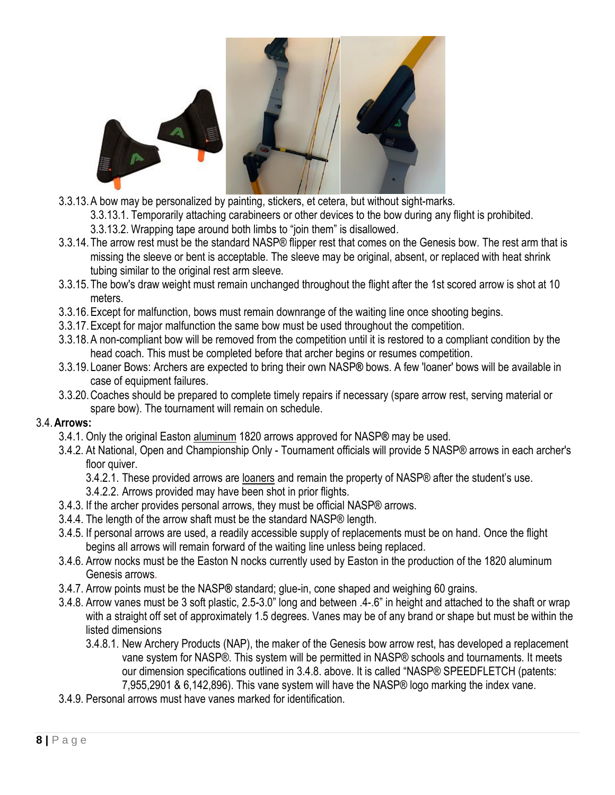

- 3.3.13.A bow may be personalized by painting, stickers, et cetera, but without sight-marks.
	- 3.3.13.1. Temporarily attaching carabineers or other devices to the bow during any flight is prohibited.
	- 3.3.13.2. Wrapping tape around both limbs to "join them" is disallowed.
- 3.3.14.The arrow rest must be the standard NASP® flipper rest that comes on the Genesis bow. The rest arm that is missing the sleeve or bent is acceptable. The sleeve may be original, absent, or replaced with heat shrink tubing similar to the original rest arm sleeve.
- 3.3.15.The bow's draw weight must remain unchanged throughout the flight after the 1st scored arrow is shot at 10 meters.
- 3.3.16.Except for malfunction, bows must remain downrange of the waiting line once shooting begins.
- 3.3.17.Except for major malfunction the same bow must be used throughout the competition.
- 3.3.18.A non-compliant bow will be removed from the competition until it is restored to a compliant condition by the head coach. This must be completed before that archer begins or resumes competition.
- 3.3.19.Loaner Bows: Archers are expected to bring their own NASP**®** bows. A few 'loaner' bows will be available in case of equipment failures.
- 3.3.20.Coaches should be prepared to complete timely repairs if necessary (spare arrow rest, serving material or spare bow). The tournament will remain on schedule.

#### <span id="page-7-0"></span>3.4.**Arrows:**

- 3.4.1. Only the original Easton aluminum 1820 arrows approved for NASP**®** may be used.
- 3.4.2. At National, Open and Championship Only Tournament officials will provide 5 NASP® arrows in each archer's floor quiver.
	- 3.4.2.1. These provided arrows are loaners and remain the property of NASP® after the student's use.
	- 3.4.2.2. Arrows provided may have been shot in prior flights.
- 3.4.3. If the archer provides personal arrows, they must be official NASP® arrows.
- 3.4.4. The length of the arrow shaft must be the standard NASP® length.
- 3.4.5. If personal arrows are used, a readily accessible supply of replacements must be on hand. Once the flight begins all arrows will remain forward of the waiting line unless being replaced.
- 3.4.6. Arrow nocks must be the Easton N nocks currently used by Easton in the production of the 1820 aluminum Genesis arrows.
- 3.4.7. Arrow points must be the NASP**®** standard; glue-in, cone shaped and weighing 60 grains.
- 3.4.8. Arrow vanes must be 3 soft plastic, 2.5-3.0" long and between .4-.6" in height and attached to the shaft or wrap with a straight off set of approximately 1.5 degrees. Vanes may be of any brand or shape but must be within the listed dimensions
	- 3.4.8.1. New Archery Products (NAP), the maker of the Genesis bow arrow rest, has developed a replacement vane system for NASP®. This system will be permitted in NASP® schools and tournaments. It meets our dimension specifications outlined in 3.4.8. above. It is called "NASP® SPEEDFLETCH (patents: 7,955,2901 & 6,142,896). This vane system will have the NASP® logo marking the index vane.
- 3.4.9. Personal arrows must have vanes marked for identification.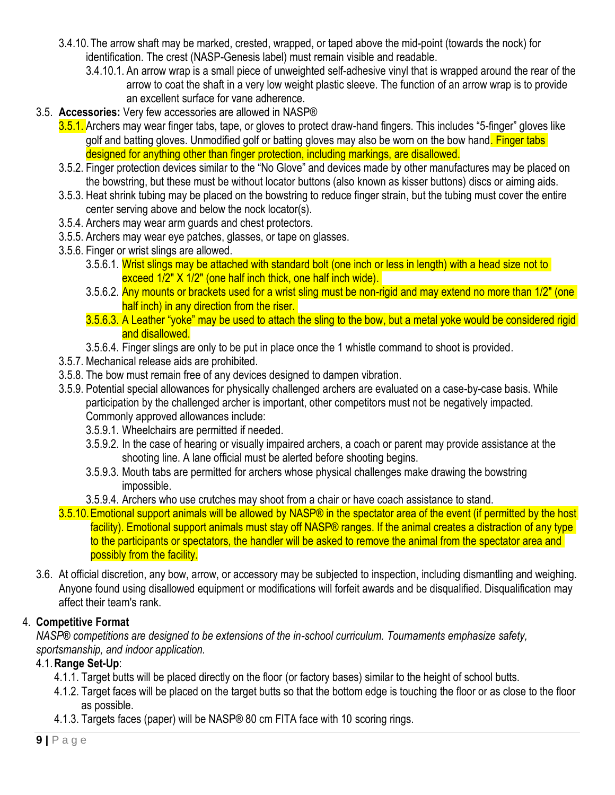- 3.4.10.The arrow shaft may be marked, crested, wrapped, or taped above the mid-point (towards the nock) for identification. The crest (NASP-Genesis label) must remain visible and readable.
	- 3.4.10.1. An arrow wrap is a small piece of unweighted self-adhesive vinyl that is wrapped around the rear of the arrow to coat the shaft in a very low weight plastic sleeve. The function of an arrow wrap is to provide an excellent surface for vane adherence.
- <span id="page-8-0"></span>3.5. **Accessories:** Very few accessories are allowed in NASP®
	- 3.5.1. Archers may wear finger tabs, tape, or gloves to protect draw-hand fingers. This includes "5-finger" gloves like golf and batting gloves. Unmodified golf or batting gloves may also be worn on the bow hand. Finger tabs designed for anything other than finger protection, including markings, are disallowed.
	- 3.5.2. Finger protection devices similar to the "No Glove" and devices made by other manufactures may be placed on the bowstring, but these must be without locator buttons (also known as kisser buttons) discs or aiming aids.
	- 3.5.3. Heat shrink tubing may be placed on the bowstring to reduce finger strain, but the tubing must cover the entire center serving above and below the nock locator(s).
	- 3.5.4. Archers may wear arm guards and chest protectors.
	- 3.5.5. Archers may wear eye patches, glasses, or tape on glasses.
	- 3.5.6. Finger or wrist slings are allowed.
		- 3.5.6.1. Wrist slings may be attached with standard bolt (one inch or less in length) with a head size not to exceed 1/2" X 1/2" (one half inch thick, one half inch wide).
		- 3.5.6.2. Any mounts or brackets used for a wrist sling must be non-rigid and may extend no more than 1/2" (one half inch) in any direction from the riser.
		- 3.5.6.3. A Leather "yoke" may be used to attach the sling to the bow, but a metal yoke would be considered rigid and disallowed.
		- 3.5.6.4. Finger slings are only to be put in place once the 1 whistle command to shoot is provided.
	- 3.5.7. Mechanical release aids are prohibited.
	- 3.5.8. The bow must remain free of any devices designed to dampen vibration.
	- 3.5.9. Potential special allowances for physically challenged archers are evaluated on a case-by-case basis. While participation by the challenged archer is important, other competitors must not be negatively impacted. Commonly approved allowances include:
		- 3.5.9.1. Wheelchairs are permitted if needed.
		- 3.5.9.2. In the case of hearing or visually impaired archers, a coach or parent may provide assistance at the shooting line. A lane official must be alerted before shooting begins.
		- 3.5.9.3. Mouth tabs are permitted for archers whose physical challenges make drawing the bowstring impossible.
		- 3.5.9.4. Archers who use crutches may shoot from a chair or have coach assistance to stand.
	- 3.5.10. Emotional support animals will be allowed by NASP® in the spectator area of the event (if permitted by the host facility). Emotional support animals must stay off NASP® ranges. If the animal creates a distraction of any type to the participants or spectators, the handler will be asked to remove the animal from the spectator area and possibly from the facility.
- 3.6. At official discretion, any bow, arrow, or accessory may be subjected to inspection, including dismantling and weighing. Anyone found using disallowed equipment or modifications will forfeit awards and be disqualified. Disqualification may affect their team's rank.

#### <span id="page-8-1"></span>4. **Competitive Format**

*NASP® competitions are designed to be extensions of the in-school curriculum. Tournaments emphasize safety, sportsmanship, and indoor application.*

#### <span id="page-8-2"></span>4.1.**Range Set-Up**:

- 4.1.1. Target butts will be placed directly on the floor (or factory bases) similar to the height of school butts.
- 4.1.2. Target faces will be placed on the target butts so that the bottom edge is touching the floor or as close to the floor as possible.
- 4.1.3. Targets faces (paper) will be NASP® 80 cm FITA face with 10 scoring rings.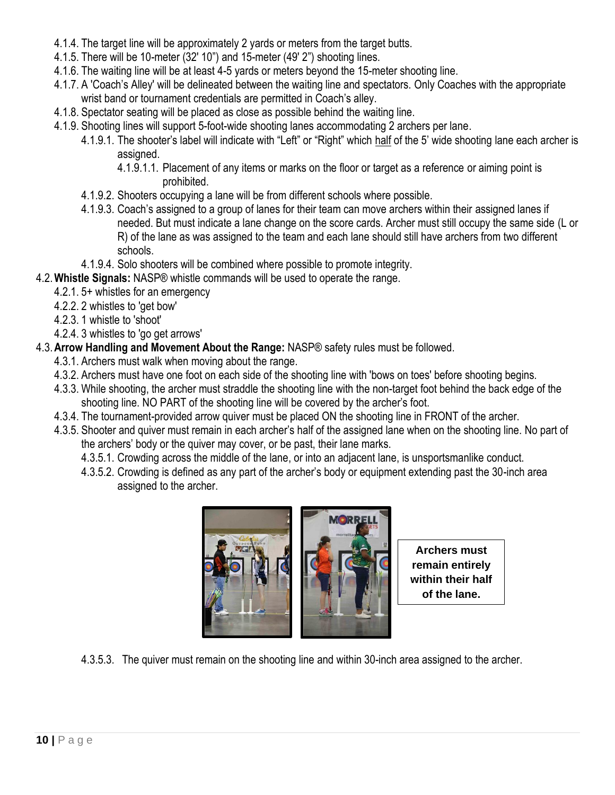- 4.1.4. The target line will be approximately 2 yards or meters from the target butts.
- 4.1.5. There will be 10-meter (32' 10") and 15-meter (49' 2") shooting lines.
- 4.1.6. The waiting line will be at least 4-5 yards or meters beyond the 15-meter shooting line.
- 4.1.7. A 'Coach's Alley' will be delineated between the waiting line and spectators. Only Coaches with the appropriate wrist band or tournament credentials are permitted in Coach's alley.
- 4.1.8. Spectator seating will be placed as close as possible behind the waiting line.
- 4.1.9. Shooting lines will support 5-foot-wide shooting lanes accommodating 2 archers per lane.
	- 4.1.9.1. The shooter's label will indicate with "Left" or "Right" which half of the 5' wide shooting lane each archer is assigned.
		- 4.1.9.1.1. Placement of any items or marks on the floor or target as a reference or aiming point is prohibited.
	- 4.1.9.2. Shooters occupying a lane will be from different schools where possible.
	- 4.1.9.3. Coach's assigned to a group of lanes for their team can move archers within their assigned lanes if needed. But must indicate a lane change on the score cards. Archer must still occupy the same side (L or R) of the lane as was assigned to the team and each lane should still have archers from two different schools.
	- 4.1.9.4. Solo shooters will be combined where possible to promote integrity.
- <span id="page-9-0"></span>4.2.**Whistle Signals:** NASP® whistle commands will be used to operate the range.
	- 4.2.1. 5+ whistles for an emergency
	- 4.2.2. 2 whistles to 'get bow'
	- 4.2.3. 1 whistle to 'shoot'
	- 4.2.4. 3 whistles to 'go get arrows'
- <span id="page-9-1"></span>4.3.**Arrow Handling and Movement About the Range:** NASP® safety rules must be followed.
	- 4.3.1. Archers must walk when moving about the range.
	- 4.3.2. Archers must have one foot on each side of the shooting line with 'bows on toes' before shooting begins.
	- 4.3.3. While shooting, the archer must straddle the shooting line with the non-target foot behind the back edge of the shooting line. NO PART of the shooting line will be covered by the archer's foot.
	- 4.3.4. The tournament-provided arrow quiver must be placed ON the shooting line in FRONT of the archer.
	- 4.3.5. Shooter and quiver must remain in each archer's half of the assigned lane when on the shooting line. No part of the archers' body or the quiver may cover, or be past, their lane marks.
		- 4.3.5.1. Crowding across the middle of the lane, or into an adjacent lane, is unsportsmanlike conduct.
		- 4.3.5.2. Crowding is defined as any part of the archer's body or equipment extending past the 30-inch area assigned to the archer.



**Archers must remain entirely within their half of the lane.**

4.3.5.3. The quiver must remain on the shooting line and within 30-inch area assigned to the archer.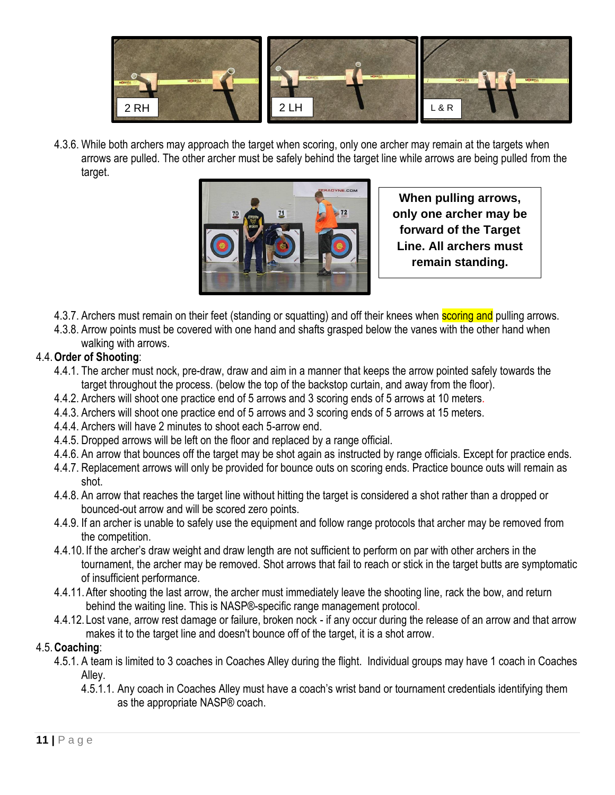

4.3.6. While both archers may approach the target when scoring, only one archer may remain at the targets when arrows are pulled. The other archer must be safely behind the target line while arrows are being pulled from the target. า arch .<br>د مات



**When pulling arrows, only one archer may be forward of the Target Line. All archers must remain standing.**

- 4.3.7. Archers must remain on their feet (standing or squatting) and off their knees when **scoring and** pulling arrows.
- 4.3.8. Arrow points must be covered with one hand and shafts grasped below the vanes with the other hand when walking with arrows.

#### <span id="page-10-0"></span>4.4.**Order of Shooting**:

- 4.4.1. The archer must nock, pre-draw, draw and aim in a manner that keeps the arrow pointed safely towards the target throughout the process. (below the top of the backstop curtain, and away from the floor).
- 4.4.2. Archers will shoot one practice end of 5 arrows and 3 scoring ends of 5 arrows at 10 meters.
- 4.4.3. Archers will shoot one practice end of 5 arrows and 3 scoring ends of 5 arrows at 15 meters.
- 4.4.4. Archers will have 2 minutes to shoot each 5-arrow end.
- 4.4.5. Dropped arrows will be left on the floor and replaced by a range official.
- 4.4.6. An arrow that bounces off the target may be shot again as instructed by range officials. Except for practice ends.
- 4.4.7. Replacement arrows will only be provided for bounce outs on scoring ends. Practice bounce outs will remain as shot.
- 4.4.8. An arrow that reaches the target line without hitting the target is considered a shot rather than a dropped or bounced-out arrow and will be scored zero points.
- 4.4.9. If an archer is unable to safely use the equipment and follow range protocols that archer may be removed from the competition.
- 4.4.10. If the archer's draw weight and draw length are not sufficient to perform on par with other archers in the tournament, the archer may be removed. Shot arrows that fail to reach or stick in the target butts are symptomatic of insufficient performance.
- 4.4.11.After shooting the last arrow, the archer must immediately leave the shooting line, rack the bow, and return behind the waiting line. This is NASP®-specific range management protocol.
- 4.4.12. Lost vane, arrow rest damage or failure, broken nock if any occur during the release of an arrow and that arrow makes it to the target line and doesn't bounce off of the target, it is a shot arrow.

#### <span id="page-10-1"></span>4.5.**Coaching**:

- 4.5.1. A team is limited to 3 coaches in Coaches Alley during the flight. Individual groups may have 1 coach in Coaches Alley.
	- 4.5.1.1. Any coach in Coaches Alley must have a coach's wrist band or tournament credentials identifying them as the appropriate NASP® coach.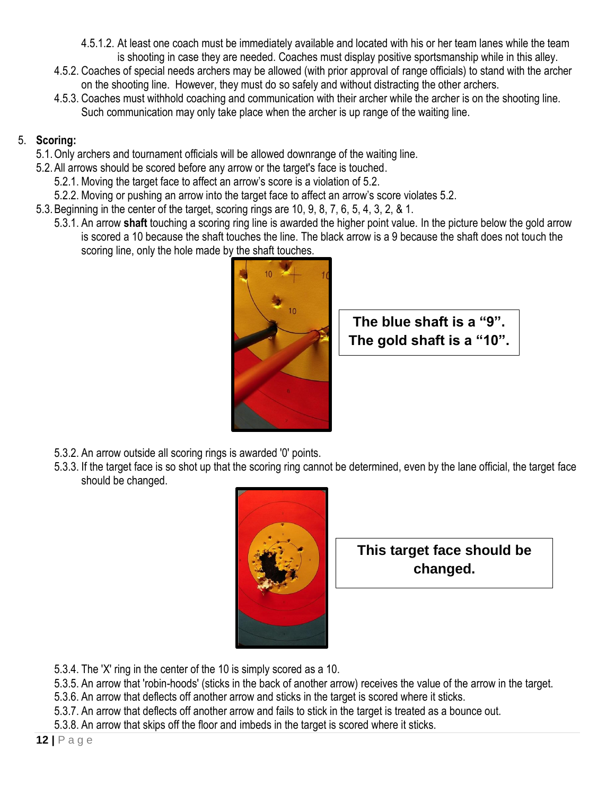- 4.5.1.2. At least one coach must be immediately available and located with his or her team lanes while the team is shooting in case they are needed. Coaches must display positive sportsmanship while in this alley.
- 4.5.2. Coaches of special needs archers may be allowed (with prior approval of range officials) to stand with the archer on the shooting line. However, they must do so safely and without distracting the other archers.
- 4.5.3. Coaches must withhold coaching and communication with their archer while the archer is on the shooting line. Such communication may only take place when the archer is up range of the waiting line.

#### 5. **Scoring:**

- <span id="page-11-0"></span>5.1.Only archers and tournament officials will be allowed downrange of the waiting line.
- 5.2.All arrows should be scored before any arrow or the target's face is touched.
	- 5.2.1. Moving the target face to affect an arrow's score is a violation of 5.2.
	- 5.2.2. Moving or pushing an arrow into the target face to affect an arrow's score violates 5.2.
- 5.3.Beginning in the center of the target, scoring rings are 10, 9, 8, 7, 6, 5, 4, 3, 2, & 1.
	- 5.3.1. An arrow **shaft** touching a scoring ring line is awarded the higher point value. In the picture below the gold arrow is scored a 10 because the shaft touches the line. The black arrow is a 9 because the shaft does not touch the scoring line, only the hole made by the shaft touches.



**The blue shaft is a "9". The gold shaft is a "10".**

- 5.3.2. An arrow outside all scoring rings is awarded '0' points.
- 5.3.3. If the target face is so shot up that the scoring ring cannot be determined, even by the lane official, the target face should be changed.



**This target face should be changed.**

- 5.3.4. The 'X' ring in the center of the 10 is simply scored as a 10.
- 5.3.5. An arrow that 'robin-hoods' (sticks in the back of another arrow) receives the value of the arrow in the target.
- 5.3.6. An arrow that deflects off another arrow and sticks in the target is scored where it sticks.
- 5.3.7. An arrow that deflects off another arrow and fails to stick in the target is treated as a bounce out.
- 5.3.8. An arrow that skips off the floor and imbeds in the target is scored where it sticks.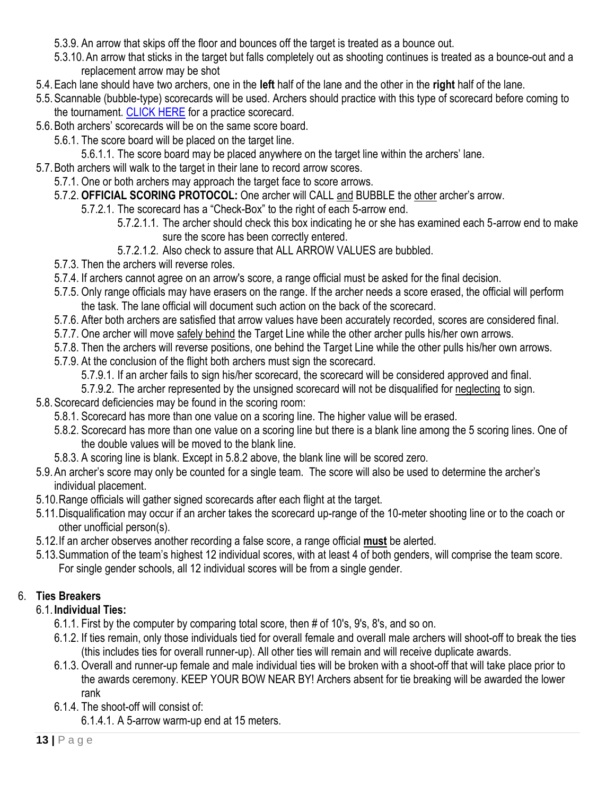- 5.3.9. An arrow that skips off the floor and bounces off the target is treated as a bounce out.
- 5.3.10.An arrow that sticks in the target but falls completely out as shooting continues is treated as a bounce-out and a replacement arrow may be shot
- 5.4.Each lane should have two archers, one in the **left** half of the lane and the other in the **right** half of the lane.
- 5.5.Scannable (bubble-type) scorecards will be used. Archers should practice with this type of scorecard before coming to the tournament. [CLICK HERE](https://www.naspschools.org/wp-content/uploads/2017/11/5BubbleScoreCard.pdf) for a practice scorecard.
- 5.6.Both archers' scorecards will be on the same score board.
	- 5.6.1. The score board will be placed on the target line.
		- 5.6.1.1. The score board may be placed anywhere on the target line within the archers' lane.
- 5.7.Both archers will walk to the target in their lane to record arrow scores.
	- 5.7.1. One or both archers may approach the target face to score arrows.
	- 5.7.2. **OFFICIAL SCORING PROTOCOL:** One archer will CALL and BUBBLE the other archer's arrow.
		- 5.7.2.1. The scorecard has a "Check-Box" to the right of each 5-arrow end.
			- 5.7.2.1.1. The archer should check this box indicating he or she has examined each 5-arrow end to make sure the score has been correctly entered.
			- 5.7.2.1.2. Also check to assure that ALL ARROW VALUES are bubbled.
	- 5.7.3. Then the archers will reverse roles.
	- 5.7.4. If archers cannot agree on an arrow's score, a range official must be asked for the final decision.
	- 5.7.5. Only range officials may have erasers on the range. If the archer needs a score erased, the official will perform the task. The lane official will document such action on the back of the scorecard.
	- 5.7.6. After both archers are satisfied that arrow values have been accurately recorded, scores are considered final.
	- 5.7.7. One archer will move safely behind the Target Line while the other archer pulls his/her own arrows.
	- 5.7.8. Then the archers will reverse positions, one behind the Target Line while the other pulls his/her own arrows.
	- 5.7.9. At the conclusion of the flight both archers must sign the scorecard.
		- 5.7.9.1. If an archer fails to sign his/her scorecard, the scorecard will be considered approved and final.
		- 5.7.9.2. The archer represented by the unsigned scorecard will not be disqualified for neglecting to sign.
- 5.8.Scorecard deficiencies may be found in the scoring room:
	- 5.8.1. Scorecard has more than one value on a scoring line. The higher value will be erased.
	- 5.8.2. Scorecard has more than one value on a scoring line but there is a blank line among the 5 scoring lines. One of the double values will be moved to the blank line.
	- 5.8.3. A scoring line is blank. Except in 5.8.2 above, the blank line will be scored zero.
- 5.9.An archer's score may only be counted for a single team. The score will also be used to determine the archer's individual placement.
- 5.10.Range officials will gather signed scorecards after each flight at the target.
- 5.11.Disqualification may occur if an archer takes the scorecard up-range of the 10-meter shooting line or to the coach or other unofficial person(s).
- 5.12.If an archer observes another recording a false score, a range official **must** be alerted.
- 5.13.Summation of the team's highest 12 individual scores, with at least 4 of both genders, will comprise the team score. For single gender schools, all 12 individual scores will be from a single gender.

# 6. **Ties Breakers**

- <span id="page-12-1"></span><span id="page-12-0"></span>6.1. **Individual Ties:**
	- 6.1.1. First by the computer by comparing total score, then # of 10's, 9's, 8's, and so on.
	- 6.1.2. If ties remain, only those individuals tied for overall female and overall male archers will shoot-off to break the ties (this includes ties for overall runner-up). All other ties will remain and will receive duplicate awards.
	- 6.1.3. Overall and runner-up female and male individual ties will be broken with a shoot-off that will take place prior to the awards ceremony. KEEP YOUR BOW NEAR BY! Archers absent for tie breaking will be awarded the lower rank
	- 6.1.4. The shoot-off will consist of:
		- 6.1.4.1. A 5-arrow warm-up end at 15 meters.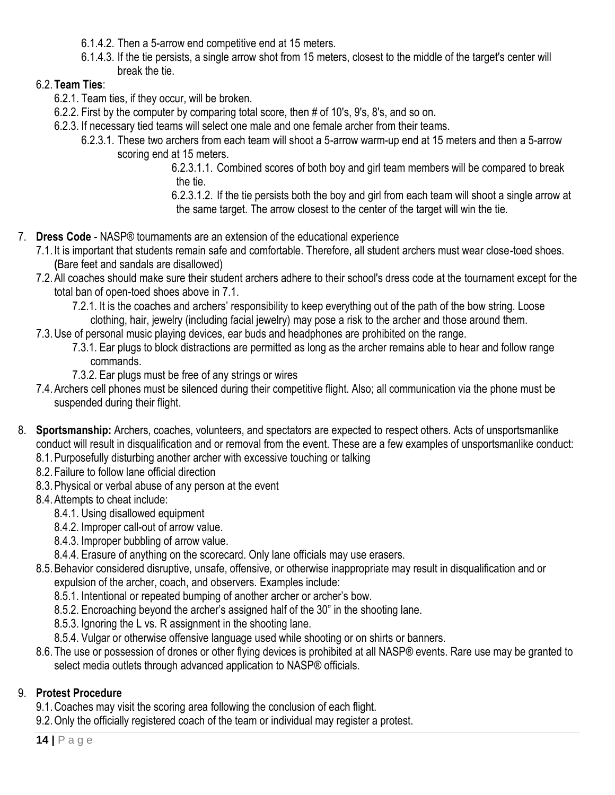- 6.1.4.2. Then a 5-arrow end competitive end at 15 meters.
- 6.1.4.3. If the tie persists, a single arrow shot from 15 meters, closest to the middle of the target's center will break the tie.

#### <span id="page-13-0"></span>6.2.**Team Ties**:

- 6.2.1. Team ties, if they occur, will be broken.
- 6.2.2. First by the computer by comparing total score, then # of 10's, 9's, 8's, and so on.
- 6.2.3. If necessary tied teams will select one male and one female archer from their teams.
	- 6.2.3.1. These two archers from each team will shoot a 5-arrow warm-up end at 15 meters and then a 5-arrow scoring end at 15 meters.

6.2.3.1.1. Combined scores of both boy and girl team members will be compared to break the tie.

6.2.3.1.2. If the tie persists both the boy and girl from each team will shoot a single arrow at the same target. The arrow closest to the center of the target will win the tie.

- <span id="page-13-1"></span>7. **Dress Code** - NASP® tournaments are an extension of the educational experience
	- 7.1. It is important that students remain safe and comfortable. Therefore, all student archers must wear close-toed shoes. **(**Bare feet and sandals are disallowed)
	- 7.2.All coaches should make sure their student archers adhere to their school's dress code at the tournament except for the total ban of open-toed shoes above in 7.1.
		- 7.2.1. It is the coaches and archers' responsibility to keep everything out of the path of the bow string. Loose clothing, hair, jewelry (including facial jewelry) may pose a risk to the archer and those around them.
	- 7.3.Use of personal music playing devices, ear buds and headphones are prohibited on the range.
		- 7.3.1. Ear plugs to block distractions are permitted as long as the archer remains able to hear and follow range commands.
		- 7.3.2. Ear plugs must be free of any strings or wires
	- 7.4.Archers cell phones must be silenced during their competitive flight. Also; all communication via the phone must be suspended during their flight.
- <span id="page-13-2"></span>8. **Sportsmanship:** Archers, coaches, volunteers, and spectators are expected to respect others. Acts of unsportsmanlike conduct will result in disqualification and or removal from the event. These are a few examples of unsportsmanlike conduct:
	- 8.1.Purposefully disturbing another archer with excessive touching or talking
	- 8.2.Failure to follow lane official direction
	- 8.3.Physical or verbal abuse of any person at the event
	- 8.4.Attempts to cheat include:
		- 8.4.1. Using disallowed equipment
		- 8.4.2. Improper call-out of arrow value.
		- 8.4.3. Improper bubbling of arrow value.
		- 8.4.4. Erasure of anything on the scorecard. Only lane officials may use erasers.
	- 8.5.Behavior considered disruptive, unsafe, offensive, or otherwise inappropriate may result in disqualification and or expulsion of the archer, coach, and observers. Examples include:
		- 8.5.1. Intentional or repeated bumping of another archer or archer's bow.
		- 8.5.2. Encroaching beyond the archer's assigned half of the 30" in the shooting lane.
		- 8.5.3. Ignoring the L vs. R assignment in the shooting lane.
		- 8.5.4. Vulgar or otherwise offensive language used while shooting or on shirts or banners.
	- 8.6.The use or possession of drones or other flying devices is prohibited at all NASP® events. Rare use may be granted to select media outlets through advanced application to NASP® officials.

# 9. **Protest Procedure**

- <span id="page-13-3"></span>9.1.Coaches may visit the scoring area following the conclusion of each flight.
- 9.2.Only the officially registered coach of the team or individual may register a protest.